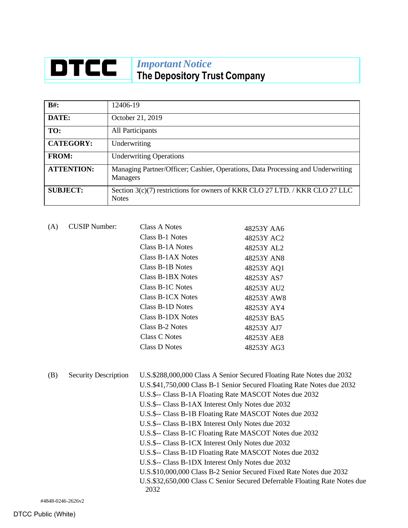## **DTCC** *Important Notice* **The Depository Trust Company**

| $B#$ :            | 12406-19                                                                                           |
|-------------------|----------------------------------------------------------------------------------------------------|
| DATE:             | October 21, 2019                                                                                   |
| TO:               | All Participants                                                                                   |
| <b>CATEGORY:</b>  | Underwriting                                                                                       |
| <b>FROM:</b>      | <b>Underwriting Operations</b>                                                                     |
| <b>ATTENTION:</b> | Managing Partner/Officer; Cashier, Operations, Data Processing and Underwriting<br><b>Managers</b> |
| <b>SUBJECT:</b>   | Section 3(c)(7) restrictions for owners of KKR CLO 27 LTD. / KKR CLO 27 LLC<br><b>Notes</b>        |

| (A) | <b>CUSIP Number:</b>        | <b>Class A Notes</b><br>Class B-1 Notes<br>Class B-1A Notes<br><b>Class B-1AX Notes</b><br>Class B-1B Notes                                                                                                                                                                                                                                                                                                                                                          | 48253Y AA6<br>48253Y AC2<br>48253Y AL2<br>48253Y AN8<br>48253Y AQ1                                                                                                                                                                                                                                   |
|-----|-----------------------------|----------------------------------------------------------------------------------------------------------------------------------------------------------------------------------------------------------------------------------------------------------------------------------------------------------------------------------------------------------------------------------------------------------------------------------------------------------------------|------------------------------------------------------------------------------------------------------------------------------------------------------------------------------------------------------------------------------------------------------------------------------------------------------|
|     |                             | <b>Class B-1BX Notes</b><br>Class B-1C Notes<br><b>Class B-1CX Notes</b><br>Class B-1D Notes<br><b>Class B-1DX Notes</b><br>Class B-2 Notes<br><b>Class C Notes</b><br><b>Class D Notes</b>                                                                                                                                                                                                                                                                          | 48253Y AS7<br>48253Y AU2<br>48253Y AW8<br>48253Y AY4<br>48253Y BA5<br>48253Y AJ7<br>48253Y AE8<br>48253Y AG3                                                                                                                                                                                         |
| (B) | <b>Security Description</b> | U.S.\$-- Class B-1A Floating Rate MASCOT Notes due 2032<br>U.S.\$-- Class B-1AX Interest Only Notes due 2032<br>U.S.\$-- Class B-1B Floating Rate MASCOT Notes due 2032<br>U.S.\$-- Class B-1BX Interest Only Notes due 2032<br>U.S.\$-- Class B-1C Floating Rate MASCOT Notes due 2032<br>U.S.\$-- Class B-1CX Interest Only Notes due 2032<br>U.S.\$-- Class B-1D Floating Rate MASCOT Notes due 2032<br>U.S.\$-- Class B-1DX Interest Only Notes due 2032<br>2032 | U.S.\$288,000,000 Class A Senior Secured Floating Rate Notes due 2032<br>U.S.\$41,750,000 Class B-1 Senior Secured Floating Rate Notes due 2032<br>U.S.\$10,000,000 Class B-2 Senior Secured Fixed Rate Notes due 2032<br>U.S.\$32,650,000 Class C Senior Secured Deferrable Floating Rate Notes due |

#4848-0246-2626v2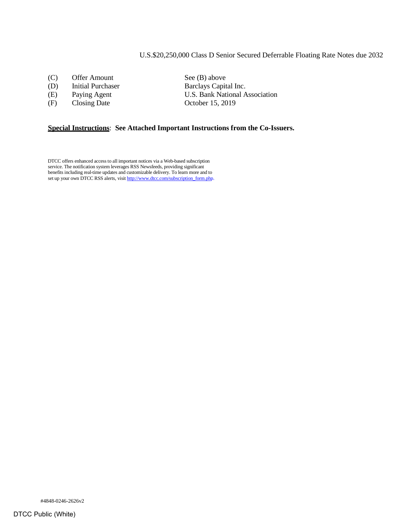## U.S.\$20,250,000 Class D Senior Secured Deferrable Floating Rate Notes due 2032

- (C) Offer Amount See (B) above
- 
- 
- (F) Closing Date October 15, 2019

(D) Initial Purchaser Barclays Capital Inc. (E) Paying Agent U.S. Bank National Association

## **Special Instructions**: **See Attached Important Instructions from the Co-Issuers.**

DTCC offers enhanced access to all important notices via a Web-based subscription service. The notification system leverages RSS Newsfeeds, providing significant benefits including real-time updates and customizable delivery. To learn more and to set up your own DTCC RSS alerts, visi[t http://www.dtcc.com/subscription\\_form.php.](http://www.dtcc.com/subscription_form.php)

#4848-0246-2626v2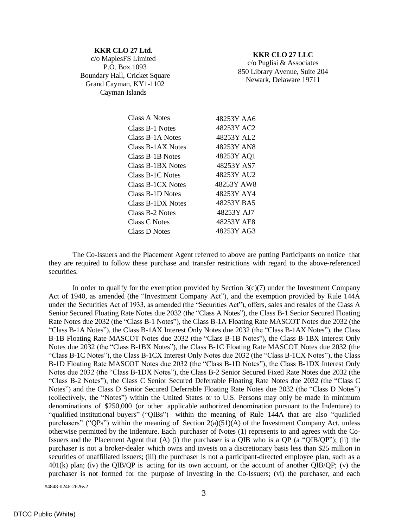| <b>KKR CLO 27 Ltd.</b>        |
|-------------------------------|
| c/o MaplesFS Limited          |
| P.O. Box 1093                 |
| Boundary Hall, Cricket Square |
| Grand Cayman, KY1-1102        |
| Cayman Islands                |

## **KKR CLO 27 LLC**

c/o Puglisi & Associates 850 Library Avenue, Suite 204 Newark, Delaware 19711

| Class A Notes        | 48253Y AA6 |
|----------------------|------------|
| Class B-1 Notes      | 48253Y AC2 |
| Class B-1A Notes     | 48253Y AL2 |
| Class B-1AX Notes    | 48253Y AN8 |
| Class B-1B Notes     | 48253Y AQ1 |
| Class B-1BX Notes    | 48253Y AS7 |
| Class B-1C Notes     | 48253Y AU2 |
| Class B-1CX Notes    | 48253Y AW8 |
| Class B-1D Notes     | 48253Y AY4 |
| Class B-1DX Notes    | 48253Y BA5 |
| Class B-2 Notes      | 48253Y AJ7 |
| Class C Notes        | 48253Y AE8 |
| <b>Class D Notes</b> | 48253Y AG3 |

The Co-Issuers and the Placement Agent referred to above are putting Participants on notice that they are required to follow these purchase and transfer restrictions with regard to the above-referenced securities.

In order to qualify for the exemption provided by Section  $3(c)(7)$  under the Investment Company Act of 1940, as amended (the "Investment Company Act"), and the exemption provided by Rule 144A under the Securities Act of 1933, as amended (the "Securities Act"), offers, sales and resales of the Class A Senior Secured Floating Rate Notes due 2032 (the "Class A Notes"), the Class B-1 Senior Secured Floating Rate Notes due 2032 (the "Class B-1 Notes"), the Class B-1A Floating Rate MASCOT Notes due 2032 (the "Class B-1A Notes"), the Class B-1AX Interest Only Notes due 2032 (the "Class B-1AX Notes"), the Class B-1B Floating Rate MASCOT Notes due 2032 (the "Class B-1B Notes"), the Class B-1BX Interest Only Notes due 2032 (the "Class B-1BX Notes"), the Class B-1C Floating Rate MASCOT Notes due 2032 (the "Class B-1C Notes"), the Class B-1CX Interest Only Notes due 2032 (the "Class B-1CX Notes"), the Class B-1D Floating Rate MASCOT Notes due 2032 (the "Class B-1D Notes"), the Class B-1DX Interest Only Notes due 2032 (the "Class B-1DX Notes"), the Class B-2 Senior Secured Fixed Rate Notes due 2032 (the "Class B-2 Notes"), the Class C Senior Secured Deferrable Floating Rate Notes due 2032 (the "Class C Notes") and the Class D Senior Secured Deferrable Floating Rate Notes due 2032 (the "Class D Notes") (collectively, the "Notes") within the United States or to U.S. Persons may only be made in minimum denominations of \$250,000 (or other applicable authorized denomination pursuant to the Indenture) to "qualified institutional buyers" ("QIBs") within the meaning of Rule 144A that are also "qualified purchasers" ("QPs") within the meaning of Section  $2(a)(51)(A)$  of the Investment Company Act, unless otherwise permitted by the Indenture. Each purchaser of Notes (1) represents to and agrees with the Co-Issuers and the Placement Agent that (A) (i) the purchaser is a QIB who is a QP (a "QIB/QP"); (ii) the purchaser is not a broker-dealer which owns and invests on a discretionary basis less than \$25 million in securities of unaffiliated issuers; (iii) the purchaser is not a participant-directed employee plan, such as a 401(k) plan; (iv) the QIB/QP is acting for its own account, or the account of another QIB/QP; (v) the purchaser is not formed for the purpose of investing in the Co-Issuers; (vi) the purchaser, and each

#4848-0246-2626v2